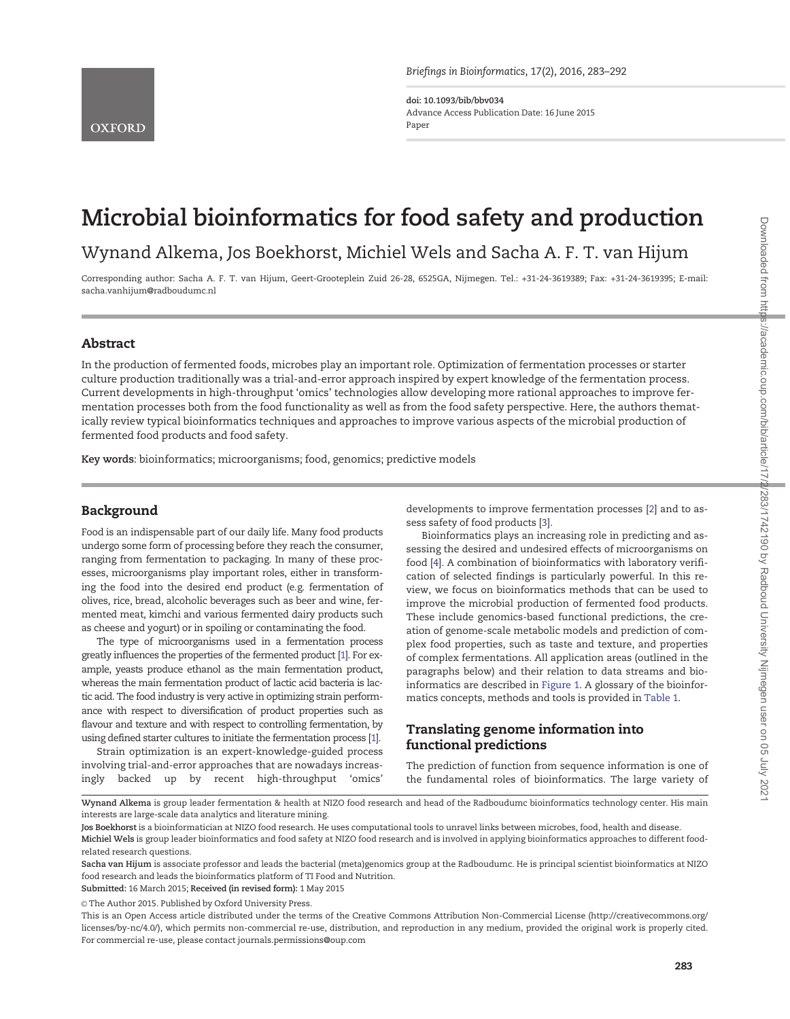doi: 10.1093/bib/bbv034 Advance Access Publication Date: 16 June 2015 Paper

# Microbial bioinformatics for food safety and production

Wynand Alkema, Jos Boekhorst, Michiel Wels and Sacha A. F. T. van Hijum

Corresponding author: Sacha A. F. T. van Hijum, Geert-Grooteplein Zuid 26-28, 6525GA, Nijmegen. Tel.: +31-24-3619389; Fax: +31-24-3619395; E-mail: sacha.vanhijum@radboudumc.nl

### Abstract

In the production of fermented foods, microbes play an important role. Optimization of fermentation processes or starter culture production traditionally was a trial-and-error approach inspired by expert knowledge of the fermentation process. Current developments in high-throughput 'omics' technologies allow developing more rational approaches to improve fermentation processes both from the food functionality as well as from the food safety perspective. Here, the authors thematically review typical bioinformatics techniques and approaches to improve various aspects of the microbial production of fermented food products and food safety.

Key words: bioinformatics; microorganisms; food, genomics; predictive models

# Background

Food is an indispensable part of our daily life. Many food products undergo some form of processing before they reach the consumer, ranging from fermentation to packaging. In many of these processes, microorganisms play important roles, either in transforming the food into the desired end product (e.g. fermentation of olives, rice, bread, alcoholic beverages such as beer and wine, fermented meat, kimchi and various fermented dairy products such as cheese and yogurt) or in spoiling or contaminating the food.

The type of microorganisms used in a fermentation process greatly influences the properties of the fermented product [\[1\]](#page-6-0). For example, yeasts produce ethanol as the main fermentation product, whereas the main fermentation product of lactic acid bacteria is lactic acid. The food industry is very active in optimizing strain performance with respect to diversification of product properties such as flavour and texture and with respect to controlling fermentation, by using defined starter cultures to initiate the fermentation process [[1](#page-6-0)].

Strain optimization is an expert-knowledge-guided process involving trial-and-error approaches that are nowadays increasingly backed up by recent high-throughput 'omics'

developments to improve fermentation processes [\[2](#page-6-0)] and to assess safety of food products [\[3](#page-6-0)].

Bioinformatics plays an increasing role in predicting and assessing the desired and undesired effects of microorganisms on food [\[4](#page-6-0)]. A combination of bioinformatics with laboratory verification of selected findings is particularly powerful. In this review, we focus on bioinformatics methods that can be used to improve the microbial production of fermented food products. These include genomics-based functional predictions, the creation of genome-scale metabolic models and prediction of complex food properties, such as taste and texture, and properties of complex fermentations. All application areas (outlined in the paragraphs below) and their relation to data streams and bioinformatics are described in [Figure 1](#page-1-0). A glossary of the bioinformatics concepts, methods and tools is provided in [Table 1.](#page-2-0)

# Translating genome information into functional predictions

The prediction of function from sequence information is one of the fundamental roles of bioinformatics. The large variety of

Wynand Alkema is group leader fermentation & health at NIZO food research and head of the Radboudumc bioinformatics technology center. His main interests are large-scale data analytics and literature mining.

Jos Boekhorst is a bioinformatician at NIZO food research. He uses computational tools to unravel links between microbes, food, health and disease. Michiel Wels is group leader bioinformatics and food safety at NIZO food research and is involved in applying bioinformatics approaches to different foodrelated research questions.

Sacha van Hijum is associate professor and leads the bacterial (meta)genomics group at the Radboudumc. He is principal scientist bioinformatics at NIZO food research and leads the bioinformatics platform of TI Food and Nutrition.

Submitted: 16 March 2015; Received (in revised form): 1 May 2015

© The Author 2015. Published by Oxford University Press.

This is an Open Access article distributed under the terms of the Creative Commons Attribution Non-Commercial License (http://creativecommons.org/ licenses/by-nc/4.0/), which permits non-commercial re-use, distribution, and reproduction in any medium, provided the original work is properly cited. For commercial re-use, please contact journals.permissions@oup.com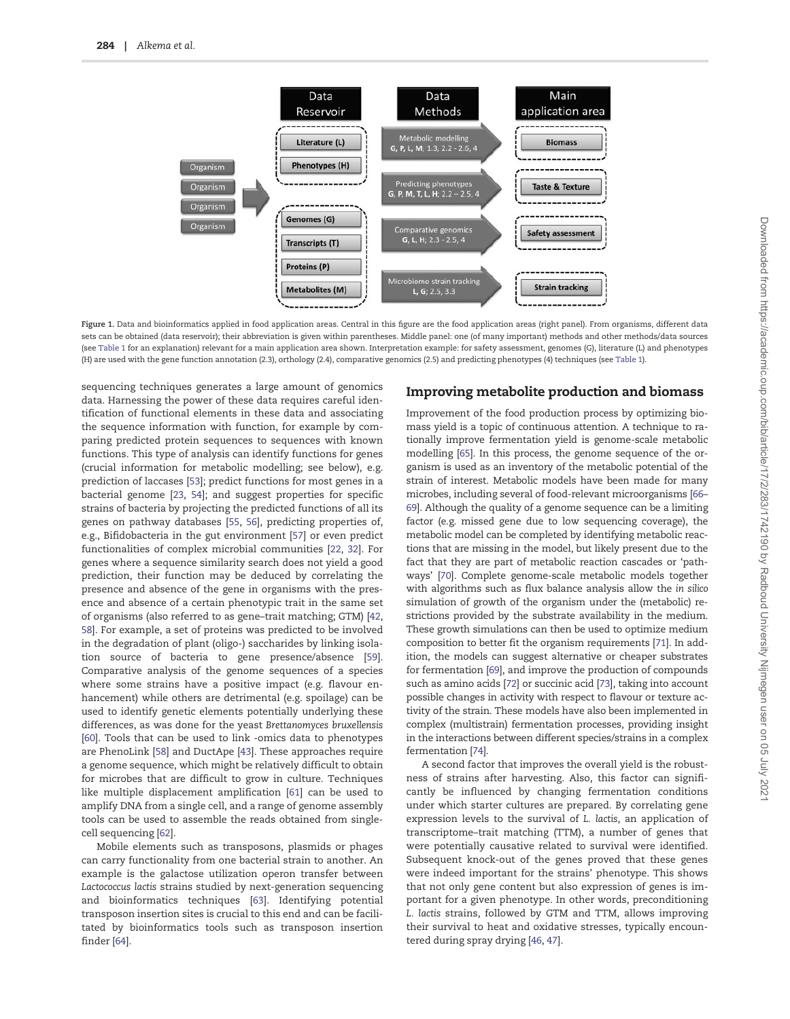<span id="page-1-0"></span>

Figure 1. Data and bioinformatics applied in food application areas. Central in this figure are the food application areas (right panel). From organisms, different data sets can be obtained (data reservoir); their abbreviation is given within parentheses. Middle panel: one (of many important) methods and other methods/data sources (see [Table 1](#page-2-0) for an explanation) relevant for a main application area shown. Interpretation example: for safety assessment, genomes (G), literature (L) and phenotypes (H) are used with the gene function annotation (2.3), orthology (2.4), comparative genomics (2.5) and predicting phenotypes (4) techniques (see [Table 1](#page-2-0)).

sequencing techniques generates a large amount of genomics data. Harnessing the power of these data requires careful identification of functional elements in these data and associating the sequence information with function, for example by comparing predicted protein sequences to sequences with known functions. This type of analysis can identify functions for genes (crucial information for metabolic modelling; see below), e.g. prediction of laccases [[53](#page-7-0)]; predict functions for most genes in a bacterial genome [\[23](#page-6-0), [54\]](#page-7-0); and suggest properties for specific strains of bacteria by projecting the predicted functions of all its genes on pathway databases [\[55,](#page-7-0) [56](#page-7-0)], predicting properties of, e.g., Bifidobacteria in the gut environment [[57](#page-7-0)] or even predict functionalities of complex microbial communities [\[22](#page-6-0), [32\]](#page-7-0). For genes where a sequence similarity search does not yield a good prediction, their function may be deduced by correlating the presence and absence of the gene in organisms with the presence and absence of a certain phenotypic trait in the same set of organisms (also referred to as gene–trait matching; GTM) [[42](#page-7-0), [58](#page-7-0)]. For example, a set of proteins was predicted to be involved in the degradation of plant (oligo-) saccharides by linking isolation source of bacteria to gene presence/absence [\[59\]](#page-7-0). Comparative analysis of the genome sequences of a species where some strains have a positive impact (e.g. flavour enhancement) while others are detrimental (e.g. spoilage) can be used to identify genetic elements potentially underlying these differences, as was done for the yeast Brettanomyces bruxellensis [\[60\]](#page-7-0). Tools that can be used to link -omics data to phenotypes are PhenoLink [[58\]](#page-7-0) and DuctApe [\[43\]](#page-7-0). These approaches require a genome sequence, which might be relatively difficult to obtain for microbes that are difficult to grow in culture. Techniques like multiple displacement amplification [\[61\]](#page-7-0) can be used to amplify DNA from a single cell, and a range of genome assembly tools can be used to assemble the reads obtained from singlecell sequencing [[62](#page-7-0)].

Mobile elements such as transposons, plasmids or phages can carry functionality from one bacterial strain to another. An example is the galactose utilization operon transfer between Lactococcus lactis strains studied by next-generation sequencing and bioinformatics techniques [\[63](#page-7-0)]. Identifying potential transposon insertion sites is crucial to this end and can be facilitated by bioinformatics tools such as transposon insertion finder [\[64\]](#page-7-0).

# Improving metabolite production and biomass

Improvement of the food production process by optimizing biomass yield is a topic of continuous attention. A technique to rationally improve fermentation yield is genome-scale metabolic modelling [\[65\]](#page-7-0). In this process, the genome sequence of the organism is used as an inventory of the metabolic potential of the strain of interest. Metabolic models have been made for many microbes, including several of food-relevant microorganisms [\[66](#page-7-0)– [69](#page-8-0)]. Although the quality of a genome sequence can be a limiting factor (e.g. missed gene due to low sequencing coverage), the metabolic model can be completed by identifying metabolic reactions that are missing in the model, but likely present due to the fact that they are part of metabolic reaction cascades or 'pathways' [[70\]](#page-8-0). Complete genome-scale metabolic models together with algorithms such as flux balance analysis allow the in silico simulation of growth of the organism under the (metabolic) restrictions provided by the substrate availability in the medium. These growth simulations can then be used to optimize medium composition to better fit the organism requirements [\[71\]](#page-8-0). In addition, the models can suggest alternative or cheaper substrates for fermentation [\[69](#page-8-0)], and improve the production of compounds such as amino acids [[72\]](#page-8-0) or succinic acid [\[73](#page-8-0)], taking into account possible changes in activity with respect to flavour or texture activity of the strain. These models have also been implemented in complex (multistrain) fermentation processes, providing insight in the interactions between different species/strains in a complex fermentation [[74\]](#page-8-0).

A second factor that improves the overall yield is the robustness of strains after harvesting. Also, this factor can significantly be influenced by changing fermentation conditions under which starter cultures are prepared. By correlating gene expression levels to the survival of L. lactis, an application of transcriptome–trait matching (TTM), a number of genes that were potentially causative related to survival were identified. Subsequent knock-out of the genes proved that these genes were indeed important for the strains' phenotype. This shows that not only gene content but also expression of genes is important for a given phenotype. In other words, preconditioning L. lactis strains, followed by GTM and TTM, allows improving their survival to heat and oxidative stresses, typically encountered during spray drying [[46](#page-7-0), [47](#page-7-0)].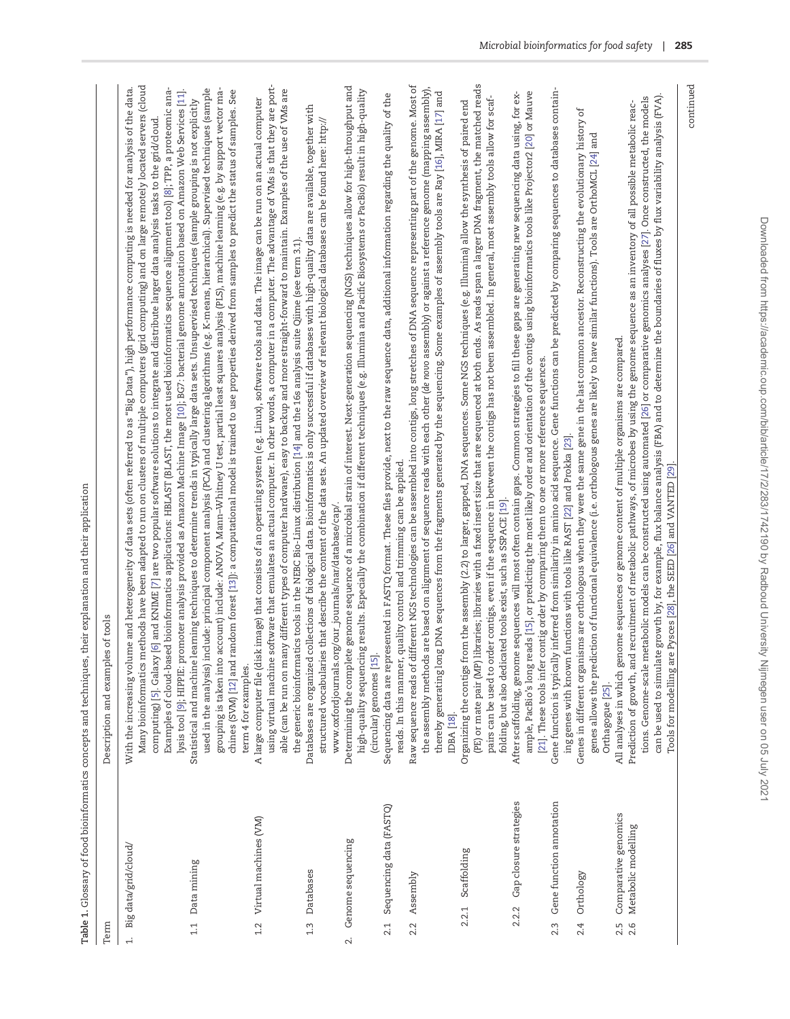<span id="page-2-0"></span>

| Term                                                      | es of tools<br>Description and exampl                                                                                                                                                                                                                                                                                                                                                                                                                                                                                                                                                                                                                                                                                                                                                                       |
|-----------------------------------------------------------|-------------------------------------------------------------------------------------------------------------------------------------------------------------------------------------------------------------------------------------------------------------------------------------------------------------------------------------------------------------------------------------------------------------------------------------------------------------------------------------------------------------------------------------------------------------------------------------------------------------------------------------------------------------------------------------------------------------------------------------------------------------------------------------------------------------|
| Big data/grid/cloud/                                      | methods have been adapted to run on clusters of multiple computers (grid computing) and on large remotely located servers (cloud<br>With the increasing volume and heterogeneity of data sets (often referred to as "Big Data"), high performance computing is needed for analysis of the data.<br>Examples of cloud-based bioinformatics applications: HBLAST (BLAST, the most used bioinformatics sequence alignment tool) [8]; TPP, a proteomic ana-<br>computing) [5]. Galaxy [6] and KNIME [7] are two popular software solutions to integrate and distribute larger data analysis tasks to the grid/cloud.<br>Many bioinformatics                                                                                                                                                                     |
| Data mining<br>1.1                                        | include: principal component analysis (PCA) and clustering algorithms (e.g. K-means, hierarchical). Supervised techniques (sample<br>grouping is taken into account) include: ANOVA, Mann-Whitney U test, partial least squares analysis (PLS), machine learning (e.g. by support vector ma-<br>lysis tool [9]; HIPPIE: promoter analysis provided as Amazon Machine Image [10]; BG7: bacterial genome annotation based on Amazon Web Services [11].<br>random forest [13]): a computational model is trained to use properties derived from samples to predict the status of samples. See<br>learning techniques to determine trends in typically large data sets. Unsupervised techniques (sample grouping is not explicitly<br>Statistical and machine<br>chines (SVM) [12] and<br>used in the analysis) |
| Virtual machines (VM)<br>1.2                              | using virtual machine software that emulates an actual computer. In other words, a computer in a computer. The advantage of VMs is that they are port-<br>able (can be run on many different types of computer hardware), easy to backup and more straight-forward to maintain. Examples of the use of VMs are<br>A large computer file (disk image) that consists of an operating system (e.g. Linux), software tools and data. The image can be run on an actual computer<br>term 4 for examples.                                                                                                                                                                                                                                                                                                         |
| 1.3 Databases                                             | Databases are organized collections of biological data. Bioinformatics is only successful if databases with high-quality data are available, together with<br>structured vocabularies that describe the content of the data sets. An updated overview of relevant biological databases can be found here: http://<br>the generic bioinformatics tools in the NEBC Bio-Linux distribution [14] and the 16s analysis suite Qiime (see term 3.1).<br>www.oxfordjournals.org/our_journals/nar/database/cap/.                                                                                                                                                                                                                                                                                                    |
| Genome sequencing<br>$\overline{\mathcal{N}}$             | Determining the complete genome sequence of a microbial strain of interest. Next-generation sequencing (NGS) techniques allow for high-throughput and<br>high-quality sequencing results. Especially the combination if different techniques (e.g. Illumina and Pacific Biosystems or PacBio) result in high-quality<br>(circular) genomes [15].                                                                                                                                                                                                                                                                                                                                                                                                                                                            |
| Sequencing data (FASTQ)<br>Assembly<br>2.2<br>2.1         | Raw sequence reads of different NGS technologies can be assembled into contigs, long stretches of DNA sequence representing part of the genome. Most of<br>the assembly methods are based on alignment of sequence reads with each other (de novo assembly) or against a reference genome (mapping assembly),<br>thereby generating long DNA sequences from the fragments generated by the sequencing. Some examples of assembly tools are Ray [16], MRA [17] and<br>Sequencing data are represented in FASTQ format. These files provide, next to the raw sequence data, additional information regarding the quality of the<br>reads. In this manner, quality control and trimming can be applied.                                                                                                        |
| Scaffolding<br>2.2.1                                      | (PE) or mate pair (MP) libraries; libraries with a fixed insert size that are sequenced at both ends. As reads span a larger DNA fragment, the matched reads<br>pairs can be used to order contigs, even if the sequence in between the contigs has not been assembled. In general, most assembly tools allow for scaf-<br>Organizing the contigs from the assembly (2.2) to larger, gapped, DNA sequences. Some NGS techniques (e.g. Illumina) allow the synthesis of paired end<br>folding, but also dedicated tools exist, such as SSPACE [19].<br>IDBA [18].                                                                                                                                                                                                                                            |
| Gap closure strategies<br>2.2.2                           | ample, PacBio's long reads [15], or predicting the most likely order and orientation of the contigs using bioinformatics tools like Projector2 [20] or Mauve<br>After scaffolding, genome sequences will most often contain gaps. Common strategies to fill these gaps are generating new sequencing data using, for ex-<br>contig order by comparing them to one or more reference sequences.<br>[21]. These tools infer                                                                                                                                                                                                                                                                                                                                                                                   |
| Gene function annotation<br>Orthology<br>2.4<br>2.3       | Gene function is typically inferred from similarity in amino acid sequence. Gene functions can be predicted by comparing sequences to databases contain-<br>đ<br>Genes in different organisms are orthologous when they were the same gene in the last common ancestor. Reconstructing the evolutionary history<br>and<br>genes allows the prediction of functional equivalence (i.e. orthologous genes are likely to have similar functions). Tools are OrthoMCL [24]<br>ing genes with known functions with tools like RAST [22] and Prokka [23].                                                                                                                                                                                                                                                         |
| Comparative genomics<br>Metabolic modelling<br>2.6<br>2.5 | can be used to simulate growth by, for example, flux balance analysis (FBA) and to determine the boundaries of fluxes by flux variability analysis (FVA)<br>tions. Genome-scale metabolic models can be constructed using automated [26] or comparative genomics analyses [27]. Once constructed, the models<br>Prediction of growth, and recruitment of metabolic pathways, of microbes by using the genome sequence as an inventory of all possible metabolic reac-<br>All analyses in which genome sequences or genome content of multiple organisms are compared.<br>Tools for modelling are Pysces [28], the SEED [26] and VANTED [29].<br>Orthagogue [25].                                                                                                                                            |
|                                                           | continued                                                                                                                                                                                                                                                                                                                                                                                                                                                                                                                                                                                                                                                                                                                                                                                                   |

Microbial bioinformatics for food safety | 285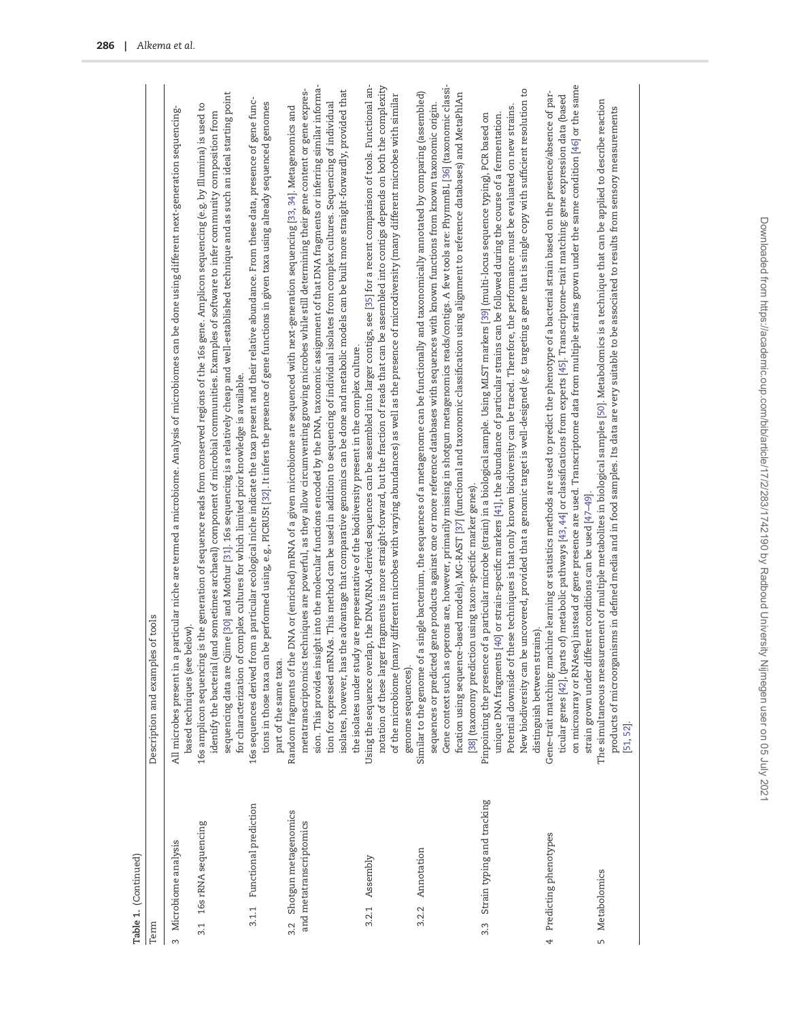| Table 1. (Continued)                                |                                                                                                                                                                                                                                                                                                                                                                                                                                                                                                                                                                                                                                                                                                                                                                                                                                                                                   |
|-----------------------------------------------------|-----------------------------------------------------------------------------------------------------------------------------------------------------------------------------------------------------------------------------------------------------------------------------------------------------------------------------------------------------------------------------------------------------------------------------------------------------------------------------------------------------------------------------------------------------------------------------------------------------------------------------------------------------------------------------------------------------------------------------------------------------------------------------------------------------------------------------------------------------------------------------------|
| Term                                                | of tools<br>Description and examples                                                                                                                                                                                                                                                                                                                                                                                                                                                                                                                                                                                                                                                                                                                                                                                                                                              |
| 3 Microbiome analysis                               | particular niche are termed a microbiome. Analysis of microbiomes can be done using different next-generation sequencing-<br>below).<br>All microbes present in a<br>based techniques (see                                                                                                                                                                                                                                                                                                                                                                                                                                                                                                                                                                                                                                                                                        |
| 3.1 16s rRNA sequencing                             | sequencing data are Qiime [30] and Mothur [31]. 16s sequencing is a relatively cheap and well-established technique and as such an ideal starting point<br>16s amplicon sequencing is the generation of sequence reads from conserved regions of the 16s gene. Amplicon sequencing (e.g. by Illumina) is used to<br>identify the bacterial (and sometimes archaeal) component of microbial communities. Examples of software to infer community composition from<br>complex cultures for which limited prior knowledge is available.<br>for characterization of                                                                                                                                                                                                                                                                                                                   |
| 3.1.1 Functional prediction                         | 16s sequences derived from a particular ecological niche indicate the taxa present and their relative abundance. From these data, presence of gene func-<br>tions in those taxa can be performed using, e.g., PICRUSt [32]. It infers the presence of gene functions in given taxa using already sequenced genomes<br>part of the same taxa.                                                                                                                                                                                                                                                                                                                                                                                                                                                                                                                                      |
| 3.2 Shotgun metagenomics<br>and metatranscriptomics | sion. This provides insight into the molecular functions encoded by the DNA, taxonomic assignment of that DNA fragments or inferring similar informa-<br>metatranscriptomics techniques are powerful, as they allow circumventing growing microbes while still determining their gene content or gene expres-<br>the advantage that comparative genomics can be done and metabolic models can be built more straight-forwardly, provided that<br>tion for expressed mRNAs. This method can be used in addition to sequencing of individual isolates from complex cultures. Sequencing of individual<br>Random fragments of the DNA or (enriched) mRNA of a given microbiome are sequenced with next-generation sequencing [33, 34]. Metagenomics and<br>the isolates under study are representative of the biodiversity present in the complex culture.<br>isolates, however, has |
| Assembly<br>3.2.1                                   | Using the sequence overlap, the DNA/RNA-derived sequences can be assembled into larger contigs, see [35] for a recent comparison of tools. Functional an-<br>notation of these larger fragments is more straight-forward, but the fraction of reads that can be assembled into contigs depends on both the complexity<br>of the microbiome (many different microbes with varying abundances) as well as the presence of microdiversity (many different microbes with similar<br>genome sequences).                                                                                                                                                                                                                                                                                                                                                                                |
| 3.2.2 Annotation                                    | Gene context such as operons are, however, primarily missing in shotgun metagenomics reads/contigs. A few tools are: PhymmBL [36] (taxonomic classi-<br>a single bacterium, the sequences of a metagenome can be functionally and taxonomically annotated by comparing (assembled)<br>fication using sequence-based models), MG-RAST [37] (functional and taxonomic classification using alignment to reference databases) and MetaPhlAn<br>sequences or predicted gene products against one or more reference databases with sequences with known functions from known taxonomic origin.<br>[38] (taxonomy prediction using taxon-specific marker genes).<br>Similar to the genome of                                                                                                                                                                                            |
| Strain typing and tracking<br>3.3                   | e uncovered, provided that a genomic target is well-designed (e.g. targeting a gene that is single copy with sufficient resolution to<br>Potential downside of these techniques is that only known biodiversity can be traced. Therefore, the performance must be evaluated on new strains.<br>unique DNA fragments [40] or strain-specific markers [41], the abundance of particular strains can be followed during the course of a fermentation.<br>Pinpointing the presence of a particular microbe (strain) in a biological sample. Using MLST markers [39] (multi-locus sequence typing), PCR based on<br>distinguish between strains)<br>New biodiversity can b                                                                                                                                                                                                             |
| Predicting phenotypes<br>$\overline{4}$             | on microarray or RNAseq) instead of gene presence are used. Transcriptome data from multiple strains grown under the same condition [46] or the same<br>Gene–trait matching; machine learning or statistics methods are used to predict the phenotype of a bacterial strain based on the presence/absence of par-<br>ticular genes [42], (parts of) metabolic pathways [43, 44] or classifications from experts [45]. Transcriptome–trait matching: gene expression data (based<br>strain grown under different conditions can be used [47-49].                                                                                                                                                                                                                                                                                                                                   |
| Metabolomics<br>L                                   | The simultaneous measurement of multiple metabolites in biological samples [50]. Metabolomics is a technique that can be applied to describe reaction<br>products of microorganisms in defined media and in food samples. Its data are very suitable to be associated to results from sensory measurements<br>51, 52.                                                                                                                                                                                                                                                                                                                                                                                                                                                                                                                                                             |
|                                                     |                                                                                                                                                                                                                                                                                                                                                                                                                                                                                                                                                                                                                                                                                                                                                                                                                                                                                   |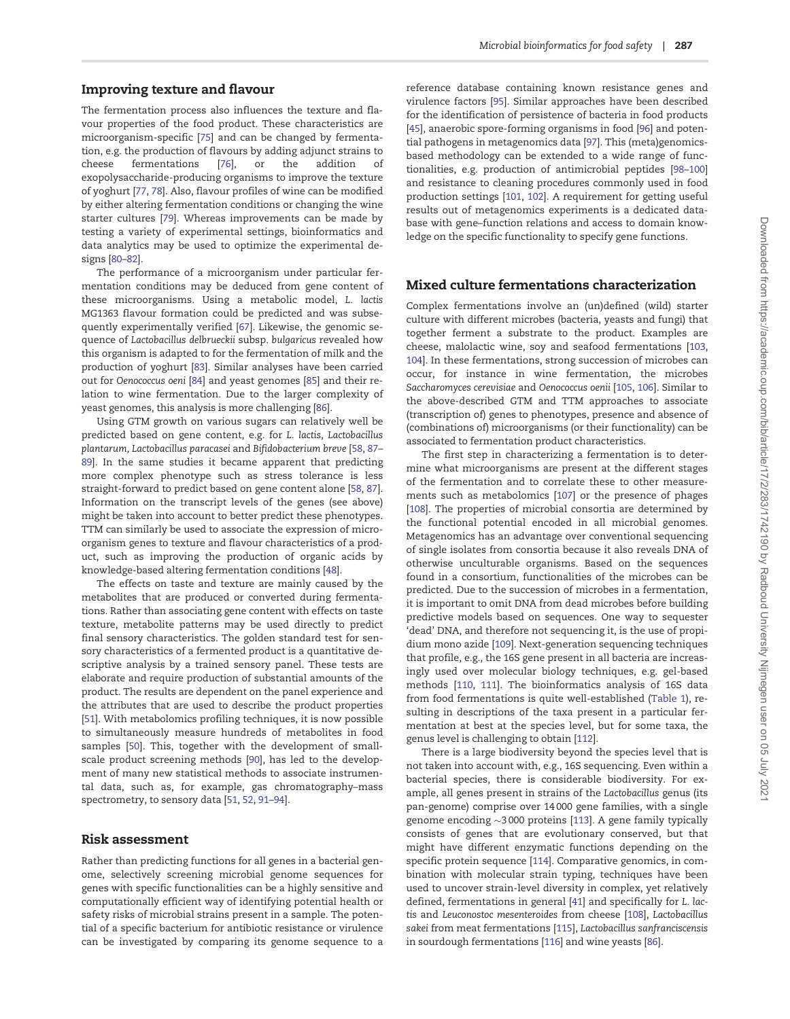#### Improving texture and flavour

The fermentation process also influences the texture and flavour properties of the food product. These characteristics are microorganism-specific [\[75\]](#page-8-0) and can be changed by fermentation, e.g. the production of flavours by adding adjunct strains to cheese fermentations [[76](#page-8-0)], or the addition of exopolysaccharide-producing organisms to improve the texture of yoghurt [\[77,](#page-8-0) [78\]](#page-8-0). Also, flavour profiles of wine can be modified by either altering fermentation conditions or changing the wine starter cultures [\[79\]](#page-8-0). Whereas improvements can be made by testing a variety of experimental settings, bioinformatics and data analytics may be used to optimize the experimental designs [\[80–82\]](#page-8-0).

The performance of a microorganism under particular fermentation conditions may be deduced from gene content of these microorganisms. Using a metabolic model, L. lactis MG1363 flavour formation could be predicted and was subsequently experimentally verified [\[67\]](#page-8-0). Likewise, the genomic sequence of Lactobacillus delbrueckii subsp. bulgaricus revealed how this organism is adapted to for the fermentation of milk and the production of yoghurt [[83\]](#page-8-0). Similar analyses have been carried out for Oenococcus oeni [[84](#page-8-0)] and yeast genomes [[85\]](#page-8-0) and their relation to wine fermentation. Due to the larger complexity of yeast genomes, this analysis is more challenging [\[86\]](#page-8-0).

Using GTM growth on various sugars can relatively well be predicted based on gene content, e.g. for L. lactis, Lactobacillus plantarum, Lactobacillus paracasei and Bifidobacterium breve [[58](#page-7-0), [87](#page-8-0)– [89](#page-8-0)]. In the same studies it became apparent that predicting more complex phenotype such as stress tolerance is less straight-forward to predict based on gene content alone [\[58](#page-7-0), [87\]](#page-8-0). Information on the transcript levels of the genes (see above) might be taken into account to better predict these phenotypes. TTM can similarly be used to associate the expression of microorganism genes to texture and flavour characteristics of a product, such as improving the production of organic acids by knowledge-based altering fermentation conditions [[48](#page-7-0)].

The effects on taste and texture are mainly caused by the metabolites that are produced or converted during fermentations. Rather than associating gene content with effects on taste texture, metabolite patterns may be used directly to predict final sensory characteristics. The golden standard test for sensory characteristics of a fermented product is a quantitative descriptive analysis by a trained sensory panel. These tests are elaborate and require production of substantial amounts of the product. The results are dependent on the panel experience and the attributes that are used to describe the product properties [\[51\]](#page-7-0). With metabolomics profiling techniques, it is now possible to simultaneously measure hundreds of metabolites in food samples [[50](#page-7-0)]. This, together with the development of smallscale product screening methods [\[90](#page-8-0)], has led to the development of many new statistical methods to associate instrumental data, such as, for example, gas chromatography–mass spectrometry, to sensory data [[51](#page-7-0), [52](#page-7-0), [91–94\]](#page-8-0).

#### Risk assessment

Rather than predicting functions for all genes in a bacterial genome, selectively screening microbial genome sequences for genes with specific functionalities can be a highly sensitive and computationally efficient way of identifying potential health or safety risks of microbial strains present in a sample. The potential of a specific bacterium for antibiotic resistance or virulence can be investigated by comparing its genome sequence to a reference database containing known resistance genes and virulence factors [[95\]](#page-8-0). Similar approaches have been described for the identification of persistence of bacteria in food products [\[45\]](#page-7-0), anaerobic spore-forming organisms in food [[96](#page-8-0)] and potential pathogens in metagenomics data [[97](#page-8-0)]. This (meta)genomicsbased methodology can be extended to a wide range of functionalities, e.g. production of antimicrobial peptides [\[98–100\]](#page-8-0) and resistance to cleaning procedures commonly used in food production settings [[101](#page-9-0), [102\]](#page-9-0). A requirement for getting useful results out of metagenomics experiments is a dedicated database with gene–function relations and access to domain knowledge on the specific functionality to specify gene functions.

### Mixed culture fermentations characterization

Complex fermentations involve an (un)defined (wild) starter culture with different microbes (bacteria, yeasts and fungi) that together ferment a substrate to the product. Examples are cheese, malolactic wine, soy and seafood fermentations [[103](#page-9-0), [104\]](#page-9-0). In these fermentations, strong succession of microbes can occur, for instance in wine fermentation, the microbes Saccharomyces cerevisiae and Oenococcus oenii [[105](#page-9-0), [106\]](#page-9-0). Similar to the above-described GTM and TTM approaches to associate (transcription of) genes to phenotypes, presence and absence of (combinations of) microorganisms (or their functionality) can be associated to fermentation product characteristics.

The first step in characterizing a fermentation is to determine what microorganisms are present at the different stages of the fermentation and to correlate these to other measurements such as metabolomics [[107](#page-9-0)] or the presence of phages [\[108\]](#page-9-0). The properties of microbial consortia are determined by the functional potential encoded in all microbial genomes. Metagenomics has an advantage over conventional sequencing of single isolates from consortia because it also reveals DNA of otherwise unculturable organisms. Based on the sequences found in a consortium, functionalities of the microbes can be predicted. Due to the succession of microbes in a fermentation, it is important to omit DNA from dead microbes before building predictive models based on sequences. One way to sequester 'dead' DNA, and therefore not sequencing it, is the use of propidium mono azide [[109](#page-9-0)]. Next-generation sequencing techniques that profile, e.g., the 16S gene present in all bacteria are increasingly used over molecular biology techniques, e.g. gel-based methods [\[110,](#page-9-0) [111](#page-9-0)]. The bioinformatics analysis of 16S data from food fermentations is quite well-established ([Table 1\)](#page-2-0), resulting in descriptions of the taxa present in a particular fermentation at best at the species level, but for some taxa, the genus level is challenging to obtain [\[112\]](#page-9-0).

There is a large biodiversity beyond the species level that is not taken into account with, e.g., 16S sequencing. Even within a bacterial species, there is considerable biodiversity. For example, all genes present in strains of the Lactobacillus genus (its pan-genome) comprise over 14 000 gene families, with a single genome encoding  $\sim$ 3 000 proteins [\[113\]](#page-9-0). A gene family typically consists of genes that are evolutionary conserved, but that might have different enzymatic functions depending on the specific protein sequence [[114](#page-9-0)]. Comparative genomics, in combination with molecular strain typing, techniques have been used to uncover strain-level diversity in complex, yet relatively defined, fermentations in general [[41\]](#page-7-0) and specifically for L. lactis and Leuconostoc mesenteroides from cheese [[108](#page-9-0)], Lactobacillus sakei from meat fermentations [\[115\]](#page-9-0), Lactobacillus sanfranciscensis in sourdough fermentations [\[116\]](#page-9-0) and wine yeasts [[86](#page-8-0)].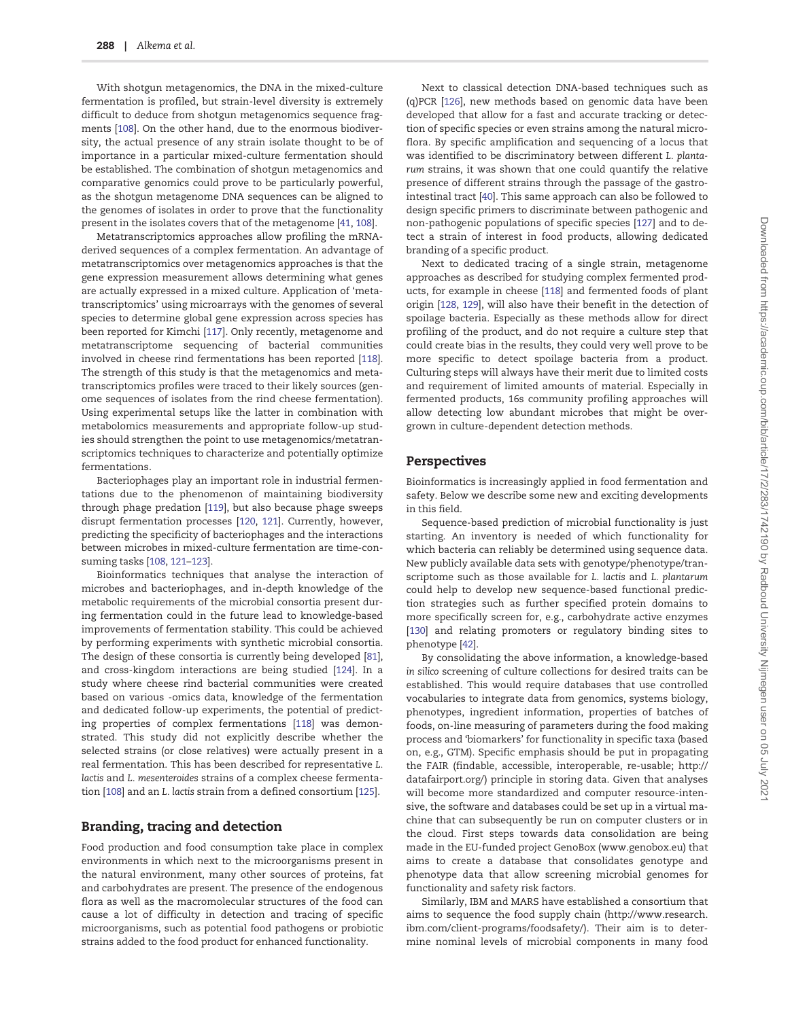With shotgun metagenomics, the DNA in the mixed-culture fermentation is profiled, but strain-level diversity is extremely difficult to deduce from shotgun metagenomics sequence fragments [\[108\]](#page-9-0). On the other hand, due to the enormous biodiversity, the actual presence of any strain isolate thought to be of importance in a particular mixed-culture fermentation should be established. The combination of shotgun metagenomics and comparative genomics could prove to be particularly powerful, as the shotgun metagenome DNA sequences can be aligned to the genomes of isolates in order to prove that the functionality present in the isolates covers that of the metagenome [[41](#page-7-0), [108](#page-9-0)].

Metatranscriptomics approaches allow profiling the mRNAderived sequences of a complex fermentation. An advantage of metatranscriptomics over metagenomics approaches is that the gene expression measurement allows determining what genes are actually expressed in a mixed culture. Application of 'metatranscriptomics' using microarrays with the genomes of several species to determine global gene expression across species has been reported for Kimchi [\[117](#page-9-0)]. Only recently, metagenome and metatranscriptome sequencing of bacterial communities involved in cheese rind fermentations has been reported [\[118\]](#page-9-0). The strength of this study is that the metagenomics and metatranscriptomics profiles were traced to their likely sources (genome sequences of isolates from the rind cheese fermentation). Using experimental setups like the latter in combination with metabolomics measurements and appropriate follow-up studies should strengthen the point to use metagenomics/metatranscriptomics techniques to characterize and potentially optimize fermentations.

Bacteriophages play an important role in industrial fermentations due to the phenomenon of maintaining biodiversity through phage predation [\[119](#page-9-0)], but also because phage sweeps disrupt fermentation processes [[120](#page-9-0), [121\]](#page-9-0). Currently, however, predicting the specificity of bacteriophages and the interactions between microbes in mixed-culture fermentation are time-consuming tasks [[108](#page-9-0), [121–123\]](#page-9-0).

Bioinformatics techniques that analyse the interaction of microbes and bacteriophages, and in-depth knowledge of the metabolic requirements of the microbial consortia present during fermentation could in the future lead to knowledge-based improvements of fermentation stability. This could be achieved by performing experiments with synthetic microbial consortia. The design of these consortia is currently being developed [\[81\]](#page-8-0), and cross-kingdom interactions are being studied [[124](#page-9-0)]. In a study where cheese rind bacterial communities were created based on various -omics data, knowledge of the fermentation and dedicated follow-up experiments, the potential of predicting properties of complex fermentations [\[118\]](#page-9-0) was demonstrated. This study did not explicitly describe whether the selected strains (or close relatives) were actually present in a real fermentation. This has been described for representative L. lactis and L. mesenteroides strains of a complex cheese fermentation [\[108\]](#page-9-0) and an L. lactis strain from a defined consortium [[125](#page-9-0)].

#### Branding, tracing and detection

Food production and food consumption take place in complex environments in which next to the microorganisms present in the natural environment, many other sources of proteins, fat and carbohydrates are present. The presence of the endogenous flora as well as the macromolecular structures of the food can cause a lot of difficulty in detection and tracing of specific microorganisms, such as potential food pathogens or probiotic strains added to the food product for enhanced functionality.

Next to classical detection DNA-based techniques such as (q)PCR [\[126\]](#page-9-0), new methods based on genomic data have been developed that allow for a fast and accurate tracking or detection of specific species or even strains among the natural microflora. By specific amplification and sequencing of a locus that was identified to be discriminatory between different L. plantarum strains, it was shown that one could quantify the relative presence of different strains through the passage of the gastrointestinal tract [[40](#page-7-0)]. This same approach can also be followed to design specific primers to discriminate between pathogenic and non-pathogenic populations of specific species [[127](#page-9-0)] and to detect a strain of interest in food products, allowing dedicated branding of a specific product.

Next to dedicated tracing of a single strain, metagenome approaches as described for studying complex fermented products, for example in cheese [\[118\]](#page-9-0) and fermented foods of plant origin [[128,](#page-9-0) [129\]](#page-9-0), will also have their benefit in the detection of spoilage bacteria. Especially as these methods allow for direct profiling of the product, and do not require a culture step that could create bias in the results, they could very well prove to be more specific to detect spoilage bacteria from a product. Culturing steps will always have their merit due to limited costs and requirement of limited amounts of material. Especially in fermented products, 16s community profiling approaches will allow detecting low abundant microbes that might be overgrown in culture-dependent detection methods.

#### **Perspectives**

Bioinformatics is increasingly applied in food fermentation and safety. Below we describe some new and exciting developments in this field.

Sequence-based prediction of microbial functionality is just starting. An inventory is needed of which functionality for which bacteria can reliably be determined using sequence data. New publicly available data sets with genotype/phenotype/transcriptome such as those available for L. lactis and L. plantarum could help to develop new sequence-based functional prediction strategies such as further specified protein domains to more specifically screen for, e.g., carbohydrate active enzymes [\[130\]](#page-9-0) and relating promoters or regulatory binding sites to phenotype [[42\]](#page-7-0).

By consolidating the above information, a knowledge-based in silico screening of culture collections for desired traits can be established. This would require databases that use controlled vocabularies to integrate data from genomics, systems biology, phenotypes, ingredient information, properties of batches of foods, on-line measuring of parameters during the food making process and 'biomarkers' for functionality in specific taxa (based on, e.g., GTM). Specific emphasis should be put in propagating the FAIR (findable, accessible, interoperable, re-usable; [http://](http://datafairport.org/) [datafairport.org/\)](http://datafairport.org/) principle in storing data. Given that analyses will become more standardized and computer resource-intensive, the software and databases could be set up in a virtual machine that can subsequently be run on computer clusters or in the cloud. First steps towards data consolidation are being made in the EU-funded project GenoBox [\(www.genobox.eu\)](www.genoBOX.eu) that aims to create a database that consolidates genotype and phenotype data that allow screening microbial genomes for functionality and safety risk factors.

Similarly, IBM and MARS have established a consortium that aims to sequence the food supply chain [\(http://www.research.](http://www.research.ibm.com/client-programs/foodsafety/) [ibm.com/client-programs/foodsafety/\)](http://www.research.ibm.com/client-programs/foodsafety/). Their aim is to determine nominal levels of microbial components in many food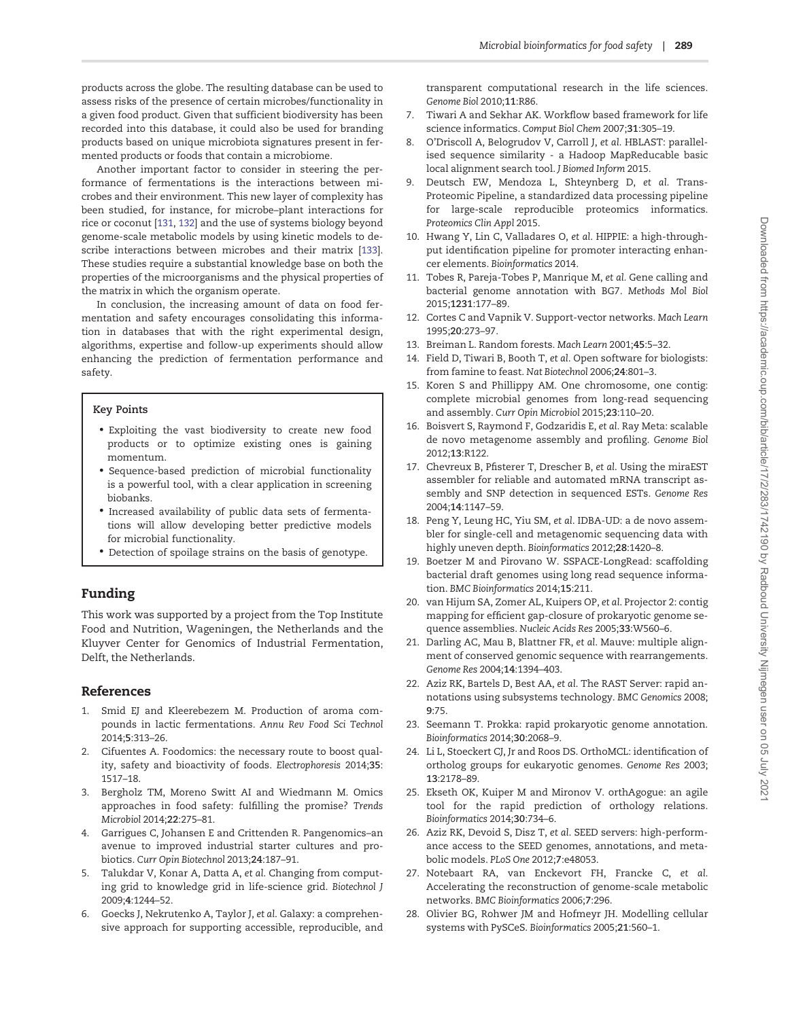<span id="page-6-0"></span>products across the globe. The resulting database can be used to assess risks of the presence of certain microbes/functionality in a given food product. Given that sufficient biodiversity has been recorded into this database, it could also be used for branding products based on unique microbiota signatures present in fermented products or foods that contain a microbiome.

Another important factor to consider in steering the performance of fermentations is the interactions between microbes and their environment. This new layer of complexity has been studied, for instance, for microbe–plant interactions for rice or coconut [\[131](#page-9-0), [132\]](#page-9-0) and the use of systems biology beyond genome-scale metabolic models by using kinetic models to describe interactions between microbes and their matrix [\[133\]](#page-9-0). These studies require a substantial knowledge base on both the properties of the microorganisms and the physical properties of the matrix in which the organism operate.

In conclusion, the increasing amount of data on food fermentation and safety encourages consolidating this information in databases that with the right experimental design, algorithms, expertise and follow-up experiments should allow enhancing the prediction of fermentation performance and safety.

#### Key Points

- Exploiting the vast biodiversity to create new food products or to optimize existing ones is gaining momentum.
- Sequence-based prediction of microbial functionality is a powerful tool, with a clear application in screening biobanks.
- Increased availability of public data sets of fermentations will allow developing better predictive models for microbial functionality.
- Detection of spoilage strains on the basis of genotype.

### Funding

This work was supported by a project from the Top Institute Food and Nutrition, Wageningen, the Netherlands and the Kluyver Center for Genomics of Industrial Fermentation, Delft, the Netherlands.

# References

- 1. Smid EJ and Kleerebezem M. Production of aroma compounds in lactic fermentations. Annu Rev Food Sci Technol 2014;5:313–26.
- 2. Cifuentes A. Foodomics: the necessary route to boost quality, safety and bioactivity of foods. Electrophoresis 2014;35: 1517–18.
- 3. Bergholz TM, Moreno Switt AI and Wiedmann M. Omics approaches in food safety: fulfilling the promise? Trends Microbiol 2014;22:275–81.
- 4. Garrigues C, Johansen E and Crittenden R. Pangenomics–an avenue to improved industrial starter cultures and probiotics. Curr Opin Biotechnol 2013;24:187–91.
- 5. Talukdar V, Konar A, Datta A, et al. Changing from computing grid to knowledge grid in life-science grid. Biotechnol J 2009;4:1244–52.
- 6. Goecks J, Nekrutenko A, Taylor J, et al. Galaxy: a comprehensive approach for supporting accessible, reproducible, and

transparent computational research in the life sciences. Genome Biol 2010;11:R86.

- 7. Tiwari A and Sekhar AK. Workflow based framework for life science informatics. Comput Biol Chem 2007;31:305–19.
- 8. O'Driscoll A, Belogrudov V, Carroll J, et al. HBLAST: parallelised sequence similarity - a Hadoop MapReducable basic local alignment search tool. J Biomed Inform 2015.
- 9. Deutsch EW, Mendoza L, Shteynberg D, et al. Trans-Proteomic Pipeline, a standardized data processing pipeline for large-scale reproducible proteomics informatics. Proteomics Clin Appl 2015.
- 10. Hwang Y, Lin C, Valladares O, et al. HIPPIE: a high-throughput identification pipeline for promoter interacting enhancer elements. Bioinformatics 2014.
- 11. Tobes R, Pareja-Tobes P, Manrique M, et al. Gene calling and bacterial genome annotation with BG7. Methods Mol Biol 2015;1231:177–89.
- 12. Cortes C and Vapnik V. Support-vector networks. Mach Learn 1995;20:273–97.
- 13. Breiman L. Random forests. Mach Learn 2001;45:5–32.
- 14. Field D, Tiwari B, Booth T, et al. Open software for biologists: from famine to feast. Nat Biotechnol 2006;24:801–3.
- 15. Koren S and Phillippy AM. One chromosome, one contig: complete microbial genomes from long-read sequencing and assembly. Curr Opin Microbiol 2015;23:110–20.
- 16. Boisvert S, Raymond F, Godzaridis E, et al. Ray Meta: scalable de novo metagenome assembly and profiling. Genome Biol 2012;13:R122.
- 17. Chevreux B, Pfisterer T, Drescher B, et al. Using the miraEST assembler for reliable and automated mRNA transcript assembly and SNP detection in sequenced ESTs. Genome Res 2004;14:1147–59.
- 18. Peng Y, Leung HC, Yiu SM, et al. IDBA-UD: a de novo assembler for single-cell and metagenomic sequencing data with highly uneven depth. Bioinformatics 2012;28:1420–8.
- 19. Boetzer M and Pirovano W. SSPACE-LongRead: scaffolding bacterial draft genomes using long read sequence information. BMC Bioinformatics 2014;15:211.
- 20. van Hijum SA, Zomer AL, Kuipers OP, et al. Projector 2: contig mapping for efficient gap-closure of prokaryotic genome sequence assemblies. Nucleic Acids Res 2005;33:W560–6.
- 21. Darling AC, Mau B, Blattner FR, et al. Mauve: multiple alignment of conserved genomic sequence with rearrangements. Genome Res 2004;14:1394–403.
- 22. Aziz RK, Bartels D, Best AA, et al. The RAST Server: rapid annotations using subsystems technology. BMC Genomics 2008; 9:75.
- 23. Seemann T. Prokka: rapid prokaryotic genome annotation. Bioinformatics 2014;30:2068–9.
- 24. Li L, Stoeckert CJ, Jr and Roos DS. OrthoMCL: identification of ortholog groups for eukaryotic genomes. Genome Res 2003; 13:2178–89.
- 25. Ekseth OK, Kuiper M and Mironov V. orthAgogue: an agile tool for the rapid prediction of orthology relations. Bioinformatics 2014;30:734–6.
- 26. Aziz RK, Devoid S, Disz T, et al. SEED servers: high-performance access to the SEED genomes, annotations, and metabolic models. PLoS One 2012;7:e48053.
- 27. Notebaart RA, van Enckevort FH, Francke C, et al. Accelerating the reconstruction of genome-scale metabolic networks. BMC Bioinformatics 2006;7:296.
- 28. Olivier BG, Rohwer JM and Hofmeyr JH. Modelling cellular systems with PySCeS. Bioinformatics 2005;21:560–1.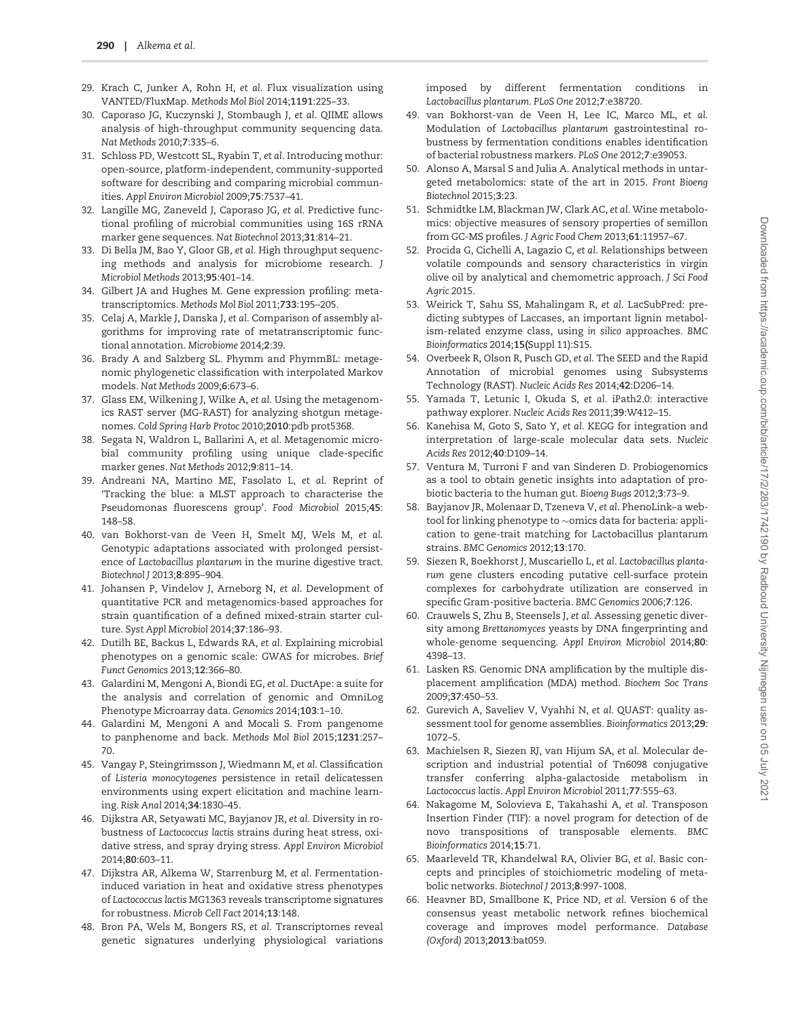- <span id="page-7-0"></span>29. Krach C, Junker A, Rohn H, et al. Flux visualization using VANTED/FluxMap. Methods Mol Biol 2014;1191:225–33.
- 30. Caporaso JG, Kuczynski J, Stombaugh J, et al. QIIME allows analysis of high-throughput community sequencing data. Nat Methods 2010;7:335–6.
- 31. Schloss PD, Westcott SL, Ryabin T, et al. Introducing mothur: open-source, platform-independent, community-supported software for describing and comparing microbial communities. Appl Environ Microbiol 2009;75:7537–41.
- 32. Langille MG, Zaneveld J, Caporaso JG, et al. Predictive functional profiling of microbial communities using 16S rRNA marker gene sequences. Nat Biotechnol 2013;31:814–21.
- 33. Di Bella JM, Bao Y, Gloor GB, et al. High throughput sequencing methods and analysis for microbiome research. J Microbiol Methods 2013;95:401–14.
- 34. Gilbert JA and Hughes M. Gene expression profiling: metatranscriptomics. Methods Mol Biol 2011;733:195–205.
- 35. Celaj A, Markle J, Danska J, et al. Comparison of assembly algorithms for improving rate of metatranscriptomic functional annotation. Microbiome 2014;2:39.
- 36. Brady A and Salzberg SL. Phymm and PhymmBL: metagenomic phylogenetic classification with interpolated Markov models. Nat Methods 2009;6:673–6.
- 37. Glass EM, Wilkening J, Wilke A, et al. Using the metagenomics RAST server (MG-RAST) for analyzing shotgun metagenomes. Cold Spring Harb Protoc 2010;2010:pdb prot5368.
- 38. Segata N, Waldron L, Ballarini A, et al. Metagenomic microbial community profiling using unique clade-specific marker genes. Nat Methods 2012;9:811–14.
- 39. Andreani NA, Martino ME, Fasolato L, et al. Reprint of 'Tracking the blue: a MLST approach to characterise the Pseudomonas fluorescens group'. Food Microbiol 2015;45: 148–58.
- 40. van Bokhorst-van de Veen H, Smelt MJ, Wels M, et al. Genotypic adaptations associated with prolonged persistence of Lactobacillus plantarum in the murine digestive tract. Biotechnol J 2013;8:895–904.
- 41. Johansen P, Vindelov J, Arneborg N, et al. Development of quantitative PCR and metagenomics-based approaches for strain quantification of a defined mixed-strain starter culture. Syst Appl Microbiol 2014;37:186–93.
- 42. Dutilh BE, Backus L, Edwards RA, et al. Explaining microbial phenotypes on a genomic scale: GWAS for microbes. Brief Funct Genomics 2013;12:366–80.
- 43. Galardini M, Mengoni A, Biondi EG, et al. DuctApe: a suite for the analysis and correlation of genomic and OmniLog Phenotype Microarray data. Genomics 2014;103:1–10.
- 44. Galardini M, Mengoni A and Mocali S. From pangenome to panphenome and back. Methods Mol Biol 2015;1231:257– 70.
- 45. Vangay P, Steingrimsson J, Wiedmann M, et al. Classification of Listeria monocytogenes persistence in retail delicatessen environments using expert elicitation and machine learning. Risk Anal 2014;34:1830–45.
- 46. Dijkstra AR, Setyawati MC, Bayjanov JR, et al. Diversity in robustness of Lactococcus lactis strains during heat stress, oxidative stress, and spray drying stress. Appl Environ Microbiol 2014;80:603–11.
- 47. Dijkstra AR, Alkema W, Starrenburg M, et al. Fermentationinduced variation in heat and oxidative stress phenotypes of Lactococcus lactis MG1363 reveals transcriptome signatures for robustness. Microb Cell Fact 2014;13:148.
- 48. Bron PA, Wels M, Bongers RS, et al. Transcriptomes reveal genetic signatures underlying physiological variations

imposed by different fermentation conditions in Lactobacillus plantarum. PLoS One 2012;7:e38720.

- 49. van Bokhorst-van de Veen H, Lee IC, Marco ML, et al. Modulation of Lactobacillus plantarum gastrointestinal robustness by fermentation conditions enables identification of bacterial robustness markers. PLoS One 2012;7:e39053.
- 50. Alonso A, Marsal S and Julia A. Analytical methods in untargeted metabolomics: state of the art in 2015. Front Bioeng Biotechnol 2015;3:23.
- 51. Schmidtke LM, Blackman JW, Clark AC, et al. Wine metabolomics: objective measures of sensory properties of semillon from GC-MS profiles. J Agric Food Chem 2013;61:11957–67.
- 52. Procida G, Cichelli A, Lagazio C, et al. Relationships between volatile compounds and sensory characteristics in virgin olive oil by analytical and chemometric approach. J Sci Food Agric 2015.
- 53. Weirick T, Sahu SS, Mahalingam R, et al. LacSubPred: predicting subtypes of Laccases, an important lignin metabolism-related enzyme class, using in silico approaches. BMC Bioinformatics 2014;15(Suppl 11):S15.
- 54. Overbeek R, Olson R, Pusch GD, et al. The SEED and the Rapid Annotation of microbial genomes using Subsystems Technology (RAST). Nucleic Acids Res 2014;42:D206–14.
- 55. Yamada T, Letunic I, Okuda S, et al. iPath2.0: interactive pathway explorer. Nucleic Acids Res 2011;39:W412–15.
- 56. Kanehisa M, Goto S, Sato Y, et al. KEGG for integration and interpretation of large-scale molecular data sets. Nucleic Acids Res 2012;40:D109–14.
- 57. Ventura M, Turroni F and van Sinderen D. Probiogenomics as a tool to obtain genetic insights into adaptation of probiotic bacteria to the human gut. Bioeng Bugs 2012;3:73–9.
- 58. Bayjanov JR, Molenaar D, Tzeneva V, et al. PhenoLink–a webtool for linking phenotype to  $\sim$ omics data for bacteria: application to gene-trait matching for Lactobacillus plantarum strains. BMC Genomics 2012;13:170.
- 59. Siezen R, Boekhorst J, Muscariello L, et al. Lactobacillus plantarum gene clusters encoding putative cell-surface protein complexes for carbohydrate utilization are conserved in specific Gram-positive bacteria. BMC Genomics 2006;7:126.
- 60. Crauwels S, Zhu B, Steensels J, et al. Assessing genetic diversity among Brettanomyces yeasts by DNA fingerprinting and whole-genome sequencing. Appl Environ Microbiol 2014;80: 4398–13.
- 61. Lasken RS. Genomic DNA amplification by the multiple displacement amplification (MDA) method. Biochem Soc Trans 2009;37:450–53.
- 62. Gurevich A, Saveliev V, Vyahhi N, et al. QUAST: quality assessment tool for genome assemblies. Bioinformatics 2013;29: 1072–5.
- 63. Machielsen R, Siezen RJ, van Hijum SA, et al. Molecular description and industrial potential of Tn6098 conjugative transfer conferring alpha-galactoside metabolism in Lactococcus lactis. Appl Environ Microbiol 2011;77:555–63.
- 64. Nakagome M, Solovieva E, Takahashi A, et al. Transposon Insertion Finder (TIF): a novel program for detection of de novo transpositions of transposable elements. BMC Bioinformatics 2014;15:71.
- 65. Maarleveld TR, Khandelwal RA, Olivier BG, et al. Basic concepts and principles of stoichiometric modeling of metabolic networks. Biotechnol J 2013;8:997-1008.
- 66. Heavner BD, Smallbone K, Price ND, et al. Version 6 of the consensus yeast metabolic network refines biochemical coverage and improves model performance. Database (Oxford) 2013;2013:bat059.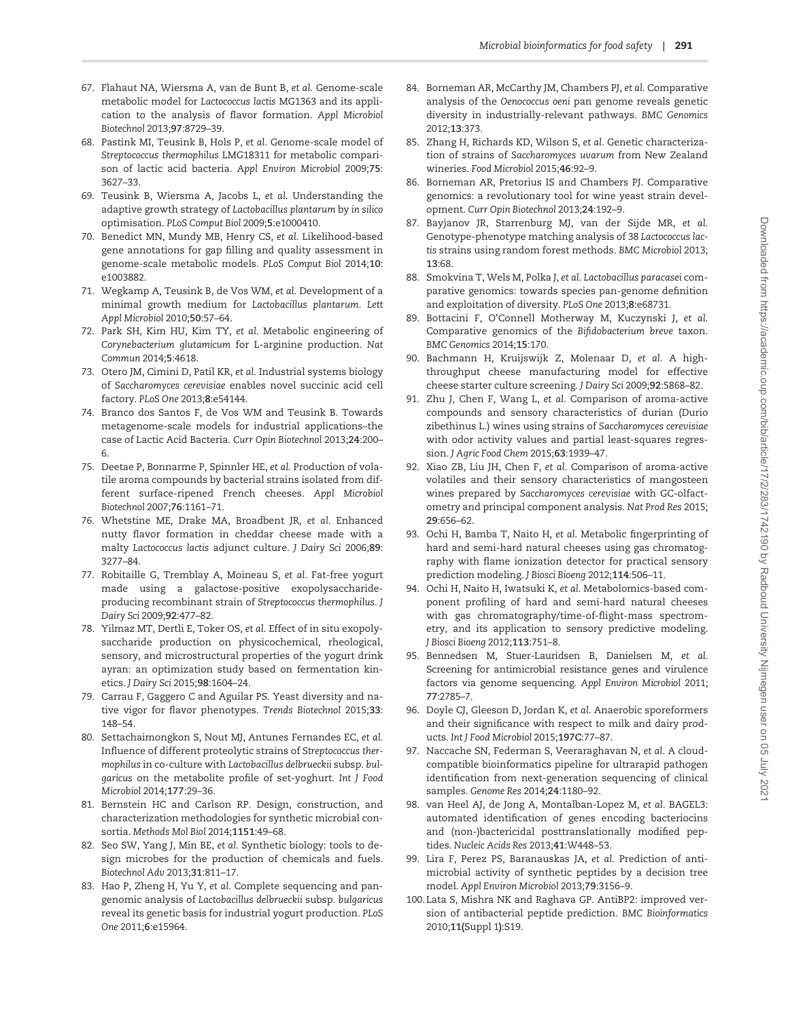- <span id="page-8-0"></span>67. Flahaut NA, Wiersma A, van de Bunt B, et al. Genome-scale metabolic model for Lactococcus lactis MG1363 and its application to the analysis of flavor formation. Appl Microbiol Biotechnol 2013;97:8729–39.
- 68. Pastink MI, Teusink B, Hols P, et al. Genome-scale model of Streptococcus thermophilus LMG18311 for metabolic comparison of lactic acid bacteria. Appl Environ Microbiol 2009;75: 3627–33.
- 69. Teusink B, Wiersma A, Jacobs L, et al. Understanding the adaptive growth strategy of Lactobacillus plantarum by in silico optimisation. PLoS Comput Biol 2009;5:e1000410.
- 70. Benedict MN, Mundy MB, Henry CS, et al. Likelihood-based gene annotations for gap filling and quality assessment in genome-scale metabolic models. PLoS Comput Biol 2014;10: e1003882.
- 71. Wegkamp A, Teusink B, de Vos WM, et al. Development of a minimal growth medium for Lactobacillus plantarum. Lett Appl Microbiol 2010;50:57–64.
- 72. Park SH, Kim HU, Kim TY, et al. Metabolic engineering of Corynebacterium glutamicum for L-arginine production. Nat Commun 2014;5:4618.
- 73. Otero JM, Cimini D, Patil KR, et al. Industrial systems biology of Saccharomyces cerevisiae enables novel succinic acid cell factory. PLoS One 2013;8:e54144.
- 74. Branco dos Santos F, de Vos WM and Teusink B. Towards metagenome-scale models for industrial applications–the case of Lactic Acid Bacteria. Curr Opin Biotechnol 2013;24:200– 6.
- 75. Deetae P, Bonnarme P, Spinnler HE, et al. Production of volatile aroma compounds by bacterial strains isolated from different surface-ripened French cheeses. Appl Microbiol Biotechnol 2007;76:1161–71.
- 76. Whetstine ME, Drake MA, Broadbent JR, et al. Enhanced nutty flavor formation in cheddar cheese made with a malty Lactococcus lactis adjunct culture. J Dairy Sci 2006;89: 3277–84.
- 77. Robitaille G, Tremblay A, Moineau S, et al. Fat-free yogurt made using a galactose-positive exopolysaccharideproducing recombinant strain of Streptococcus thermophilus. J Dairy Sci 2009;92:477–82.
- 78. Yilmaz MT, Dertli E, Toker OS, et al. Effect of in situ exopolysaccharide production on physicochemical, rheological, sensory, and microstructural properties of the yogurt drink ayran: an optimization study based on fermentation kinetics. J Dairy Sci 2015;98:1604–24.
- 79. Carrau F, Gaggero C and Aguilar PS. Yeast diversity and native vigor for flavor phenotypes. Trends Biotechnol 2015;33: 148–54.
- 80. Settachaimongkon S, Nout MJ, Antunes Fernandes EC, et al. Influence of different proteolytic strains of Streptococcus thermophilus in co-culture with Lactobacillus delbrueckii subsp. bulgaricus on the metabolite profile of set-yoghurt. Int J Food Microbiol 2014;177:29–36.
- 81. Bernstein HC and Carlson RP. Design, construction, and characterization methodologies for synthetic microbial consortia. Methods Mol Biol 2014;1151:49–68.
- 82. Seo SW, Yang J, Min BE, et al. Synthetic biology: tools to design microbes for the production of chemicals and fuels. Biotechnol Adv 2013;31:811–17.
- 83. Hao P, Zheng H, Yu Y, et al. Complete sequencing and pangenomic analysis of Lactobacillus delbrueckii subsp. bulgaricus reveal its genetic basis for industrial yogurt production. PLoS One 2011;6:e15964.
- 84. Borneman AR, McCarthy JM, Chambers PJ, et al. Comparative analysis of the Oenococcus oeni pan genome reveals genetic diversity in industrially-relevant pathways. BMC Genomics 2012;13:373.
- 85. Zhang H, Richards KD, Wilson S, et al. Genetic characterization of strains of Saccharomyces uvarum from New Zealand wineries. Food Microbiol 2015;46:92–9.
- 86. Borneman AR, Pretorius IS and Chambers PJ. Comparative genomics: a revolutionary tool for wine yeast strain development. Curr Opin Biotechnol 2013;24:192–9.
- 87. Bayjanov JR, Starrenburg MJ, van der Sijde MR, et al. Genotype-phenotype matching analysis of 38 Lactococcus lactis strains using random forest methods. BMC Microbiol 2013; 13:68.
- 88. Smokvina T, Wels M, Polka J, et al. Lactobacillus paracasei comparative genomics: towards species pan-genome definition and exploitation of diversity. PLoS One 2013;8:e68731.
- 89. Bottacini F, O'Connell Motherway M, Kuczynski J, et al. Comparative genomics of the Bifidobacterium breve taxon. BMC Genomics 2014;15:170.
- 90. Bachmann H, Kruijswijk Z, Molenaar D, et al. A highthroughput cheese manufacturing model for effective cheese starter culture screening. J Dairy Sci 2009;92:5868–82.
- 91. Zhu J, Chen F, Wang L, et al. Comparison of aroma-active compounds and sensory characteristics of durian (Durio zibethinus L.) wines using strains of Saccharomyces cerevisiae with odor activity values and partial least-squares regression. J Agric Food Chem 2015;63:1939–47.
- 92. Xiao ZB, Liu JH, Chen F, et al. Comparison of aroma-active volatiles and their sensory characteristics of mangosteen wines prepared by Saccharomyces cerevisiae with GC-olfactometry and principal component analysis. Nat Prod Res 2015; 29:656–62.
- 93. Ochi H, Bamba T, Naito H, et al. Metabolic fingerprinting of hard and semi-hard natural cheeses using gas chromatography with flame ionization detector for practical sensory prediction modeling. J Biosci Bioeng 2012;114:506–11.
- 94. Ochi H, Naito H, Iwatsuki K, et al. Metabolomics-based component profiling of hard and semi-hard natural cheeses with gas chromatography/time-of-flight-mass spectrometry, and its application to sensory predictive modeling. J Biosci Bioeng 2012;113:751–8.
- 95. Bennedsen M, Stuer-Lauridsen B, Danielsen M, et al. Screening for antimicrobial resistance genes and virulence factors via genome sequencing. Appl Environ Microbiol 2011; 77:2785–7.
- 96. Doyle CJ, Gleeson D, Jordan K, et al. Anaerobic sporeformers and their significance with respect to milk and dairy products. Int J Food Microbiol 2015;197C:77–87.
- 97. Naccache SN, Federman S, Veeraraghavan N, et al. A cloudcompatible bioinformatics pipeline for ultrarapid pathogen identification from next-generation sequencing of clinical samples. Genome Res 2014;24:1180–92.
- 98. van Heel AJ, de Jong A, Montalban-Lopez M, et al. BAGEL3: automated identification of genes encoding bacteriocins and (non-)bactericidal posttranslationally modified peptides. Nucleic Acids Res 2013;41:W448–53.
- 99. Lira F, Perez PS, Baranauskas JA, et al. Prediction of antimicrobial activity of synthetic peptides by a decision tree model. Appl Environ Microbiol 2013;79:3156–9.
- 100. Lata S, Mishra NK and Raghava GP. AntiBP2: improved version of antibacterial peptide prediction. BMC Bioinformatics 2010;11(Suppl 1):S19.